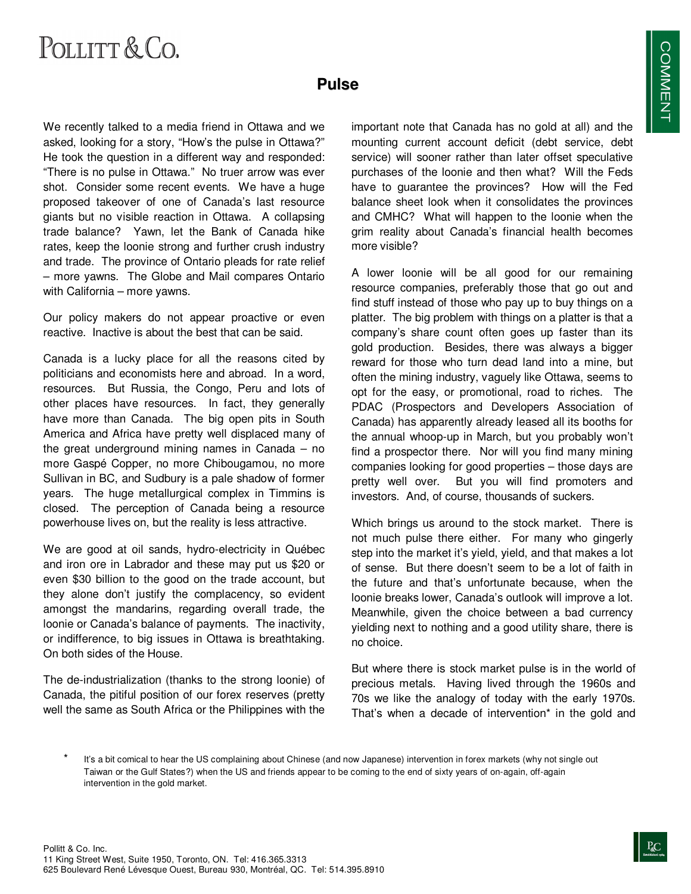## POLLITT & CO.

## **Pulse**

We recently talked to a media friend in Ottawa and we asked, looking for a story, "How's the pulse in Ottawa?" He took the question in a different way and responded: "There is no pulse in Ottawa." No truer arrow was ever shot. Consider some recent events. We have a huge proposed takeover of one of Canada's last resource giants but no visible reaction in Ottawa. A collapsing trade balance? Yawn, let the Bank of Canada hike rates, keep the loonie strong and further crush industry and trade. The province of Ontario pleads for rate relief – more yawns. The Globe and Mail compares Ontario with California – more yawns.

Our policy makers do not appear proactive or even reactive. Inactive is about the best that can be said.

Canada is a lucky place for all the reasons cited by politicians and economists here and abroad. In a word, resources. But Russia, the Congo, Peru and lots of other places have resources. In fact, they generally have more than Canada. The big open pits in South America and Africa have pretty well displaced many of the great underground mining names in Canada – no more Gaspé Copper, no more Chibougamou, no more Sullivan in BC, and Sudbury is a pale shadow of former years. The huge metallurgical complex in Timmins is closed. The perception of Canada being a resource powerhouse lives on, but the reality is less attractive.

We are good at oil sands, hydro-electricity in Québec and iron ore in Labrador and these may put us \$20 or even \$30 billion to the good on the trade account, but they alone don't justify the complacency, so evident amongst the mandarins, regarding overall trade, the loonie or Canada's balance of payments. The inactivity, or indifference, to big issues in Ottawa is breathtaking. On both sides of the House.

The de-industrialization (thanks to the strong loonie) of Canada, the pitiful position of our forex reserves (pretty well the same as South Africa or the Philippines with the

important note that Canada has no gold at all) and the mounting current account deficit (debt service, debt service) will sooner rather than later offset speculative purchases of the loonie and then what? Will the Feds have to guarantee the provinces? How will the Fed balance sheet look when it consolidates the provinces and CMHC? What will happen to the loonie when the grim reality about Canada's financial health becomes more visible?

A lower loonie will be all good for our remaining resource companies, preferably those that go out and find stuff instead of those who pay up to buy things on a platter. The big problem with things on a platter is that a company's share count often goes up faster than its gold production. Besides, there was always a bigger reward for those who turn dead land into a mine, but often the mining industry, vaguely like Ottawa, seems to opt for the easy, or promotional, road to riches. The PDAC (Prospectors and Developers Association of Canada) has apparently already leased all its booths for the annual whoop-up in March, but you probably won't find a prospector there. Nor will you find many mining companies looking for good properties – those days are pretty well over. But you will find promoters and investors. And, of course, thousands of suckers.

Which brings us around to the stock market. There is not much pulse there either. For many who gingerly step into the market it's yield, yield, and that makes a lot of sense. But there doesn't seem to be a lot of faith in the future and that's unfortunate because, when the loonie breaks lower, Canada's outlook will improve a lot. Meanwhile, given the choice between a bad currency yielding next to nothing and a good utility share, there is no choice.

But where there is stock market pulse is in the world of precious metals. Having lived through the 1960s and 70s we like the analogy of today with the early 1970s. That's when a decade of intervention\* in the gold and

It's a bit comical to hear the US complaining about Chinese (and now Japanese) intervention in forex markets (why not single out Taiwan or the Gulf States?) when the US and friends appear to be coming to the end of sixty years of on-again, off-again intervention in the gold market.